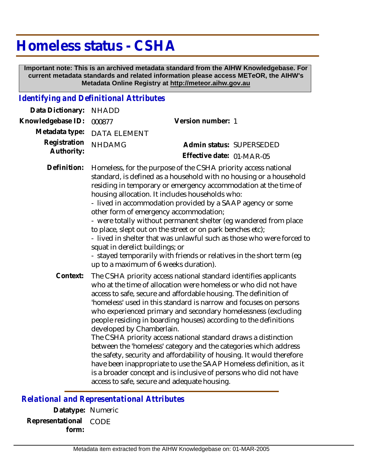## **Homeless status - CSHA**

 **Important note: This is an archived metadata standard from the AIHW Knowledgebase. For current metadata standards and related information please access METeOR, the AIHW's Metadata Online Registry at http://meteor.aihw.gov.au**

## *Identifying and Definitional Attributes*

| Data Dictionary:           | <b>NHADD</b>                                                                                                                                                                                                                                                                                                                                                                                                                                                                                                                                                                                                                                                                                                                                                                                                                                             |                           |  |
|----------------------------|----------------------------------------------------------------------------------------------------------------------------------------------------------------------------------------------------------------------------------------------------------------------------------------------------------------------------------------------------------------------------------------------------------------------------------------------------------------------------------------------------------------------------------------------------------------------------------------------------------------------------------------------------------------------------------------------------------------------------------------------------------------------------------------------------------------------------------------------------------|---------------------------|--|
| Knowledgebase ID:          | 000877                                                                                                                                                                                                                                                                                                                                                                                                                                                                                                                                                                                                                                                                                                                                                                                                                                                   | Version number: 1         |  |
| Metadata type:             | <b>DATA ELEMENT</b>                                                                                                                                                                                                                                                                                                                                                                                                                                                                                                                                                                                                                                                                                                                                                                                                                                      |                           |  |
| Registration<br>Authority: | <b>NHDAMG</b>                                                                                                                                                                                                                                                                                                                                                                                                                                                                                                                                                                                                                                                                                                                                                                                                                                            | Admin status: SUPERSEDED  |  |
|                            |                                                                                                                                                                                                                                                                                                                                                                                                                                                                                                                                                                                                                                                                                                                                                                                                                                                          | Effective date: 01-MAR-05 |  |
| Definition:                | Homeless, for the purpose of the CSHA priority access national<br>standard, is defined as a household with no housing or a household<br>residing in temporary or emergency accommodation at the time of<br>housing allocation. It includes households who:<br>- lived in accommodation provided by a SAAP agency or some<br>other form of emergency accommodation;<br>- were totally without permanent shelter (eg wandered from place<br>to place, slept out on the street or on park benches etc);<br>- lived in shelter that was unlawful such as those who were forced to<br>squat in derelict buildings; or<br>- stayed temporarily with friends or relatives in the short term (eg<br>up to a maximum of 6 weeks duration).                                                                                                                        |                           |  |
| Context:                   | The CSHA priority access national standard identifies applicants<br>who at the time of allocation were homeless or who did not have<br>access to safe, secure and affordable housing. The definition of<br>'homeless' used in this standard is narrow and focuses on persons<br>who experienced primary and secondary homelessness (excluding<br>people residing in boarding houses) according to the definitions<br>developed by Chamberlain.<br>The CSHA priority access national standard draws a distinction<br>between the 'homeless' category and the categories which address<br>the safety, security and affordability of housing. It would therefore<br>have been inappropriate to use the SAAP Homeless definition, as it<br>is a broader concept and is inclusive of persons who did not have<br>access to safe, secure and adequate housing. |                           |  |

*Relational and Representational Attributes*

**Datatype:** Numeric **Representational** CODE  **form:**